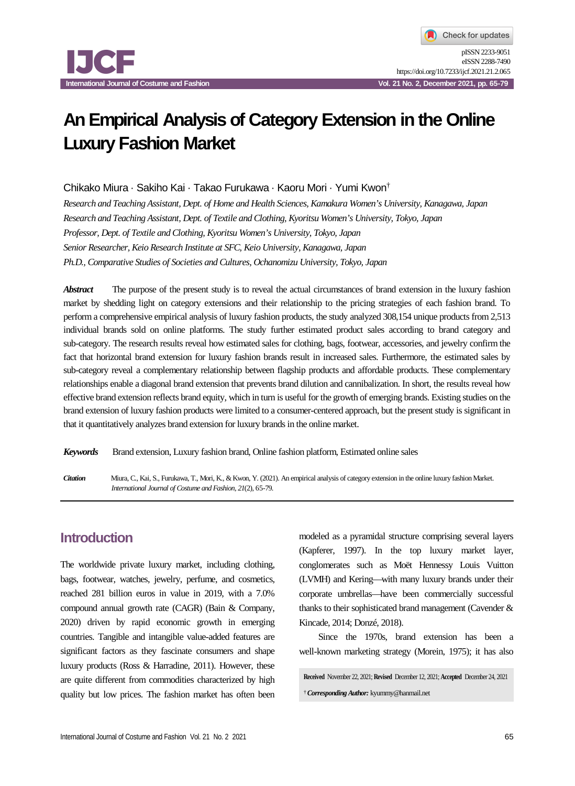# **An Empirical Analysis of Category Extension in the Online Luxury Fashion Market**

Chikako Miura · Sakiho Kai · Takao Furukawa · Kaoru Mori · Yumi Kwon†

*Research and Teaching Assistant, Dept. of Home and Health Sciences, Kamakura Women's University, Kanagawa, Japan Research and Teaching Assistant, Dept. of Textile and Clothing, Kyoritsu Women's University, Tokyo, Japan Professor, Dept. of Textile and Clothing, Kyoritsu Women's University, Tokyo, Japan Senior Researcher, Keio Research Institute at SFC, Keio University, Kanagawa, Japan Ph.D., Comparative Studies of Societies and Cultures, Ochanomizu University, Tokyo, Japan*

*Abstract* The purpose of the present study is to reveal the actual circumstances of brand extension in the luxury fashion market by shedding light on category extensions and their relationship to the pricing strategies of each fashion brand. To perform a comprehensive empirical analysis of luxury fashion products, the study analyzed 308,154 unique products from 2,513 individual brands sold on online platforms. The study further estimated product sales according to brand category and sub-category. The research results reveal how estimated sales for clothing, bags, footwear, accessories, and jewelry confirm the fact that horizontal brand extension for luxury fashion brands result in increased sales. Furthermore, the estimated sales by sub-category reveal a complementary relationship between flagship products and affordable products. These complementary relationships enable a diagonal brand extension that prevents brand dilution and cannibalization. In short, the results reveal how effective brand extension reflects brand equity, which in turn is useful for the growth of emerging brands. Existing studies on the brand extension of luxury fashion products were limited to a consumer-centered approach, but the present study is significant in that it quantitatively analyzes brand extension for luxury brands in the online market.

*Keywords* Brand extension, Luxury fashion brand, Online fashion platform, Estimated online sales

*Citation* Miura, C., Kai, S., Furukawa, T., Mori, K., & Kwon, Y. (2021). An empirical analysis of category extension in the online luxury fashion Market. *International Journal of Costume and Fashion*, *21*(2), 65-79.

# **Introduction**

The worldwide private luxury market, including clothing, bags, footwear, watches, jewelry, perfume, and cosmetics, reached 281 billion euros in value in 2019, with a 7.0% compound annual growth rate (CAGR) (Bain & Company, 2020) driven by rapid economic growth in emerging countries. Tangible and intangible value-added features are significant factors as they fascinate consumers and shape luxury products (Ross & Harradine, 2011). However, these are quite different from commodities characterized by high quality but low prices. The fashion market has often been

modeled as a pyramidal structure comprising several layers (Kapferer, 1997). In the top luxury market layer, conglomerates such as Moët Hennessy Louis Vuitton (LVMH) and Kering—with many luxury brands under their corporate umbrellas—have been commercially successful thanks to their sophisticated brand management (Cavender & Kincade, 2014; Donzé, 2018).

Since the 1970s, brand extension has been a well-known marketing strategy (Morein, 1975); it has also

**Received** November 22, 2021; **Revised** December 12, 2021; **Accepted** December 24, 2021 †*Corresponding Author:* kyummy@hanmail.net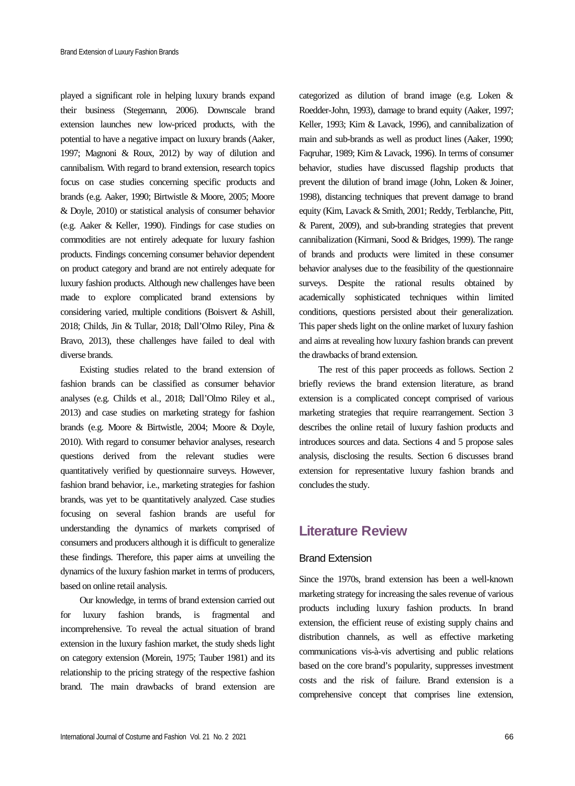played a significant role in helping luxury brands expand their business (Stegemann, 2006). Downscale brand extension launches new low-priced products, with the potential to have a negative impact on luxury brands (Aaker, 1997; Magnoni & Roux, 2012) by way of dilution and cannibalism. With regard to brand extension, research topics focus on case studies concerning specific products and brands (e.g. Aaker, 1990; Birtwistle & Moore, 2005; Moore & Doyle, 2010) or statistical analysis of consumer behavior (e.g. Aaker & Keller, 1990). Findings for case studies on commodities are not entirely adequate for luxury fashion products. Findings concerning consumer behavior dependent on product category and brand are not entirely adequate for luxury fashion products. Although new challenges have been made to explore complicated brand extensions by considering varied, multiple conditions (Boisvert & Ashill, 2018; Childs, Jin & Tullar, 2018; Dall'Olmo Riley, Pina & Bravo, 2013), these challenges have failed to deal with diverse brands.

Existing studies related to the brand extension of fashion brands can be classified as consumer behavior analyses (e.g. Childs et al., 2018; Dall'Olmo Riley et al., 2013) and case studies on marketing strategy for fashion brands (e.g. Moore & Birtwistle, 2004; Moore & Doyle, 2010). With regard to consumer behavior analyses, research questions derived from the relevant studies were quantitatively verified by questionnaire surveys. However, fashion brand behavior, i.e., marketing strategies for fashion brands, was yet to be quantitatively analyzed. Case studies focusing on several fashion brands are useful for understanding the dynamics of markets comprised of consumers and producers although it is difficult to generalize these findings. Therefore, this paper aims at unveiling the dynamics of the luxury fashion market in terms of producers, based on online retail analysis.

Our knowledge, in terms of brand extension carried out for luxury fashion brands, is fragmental and incomprehensive. To reveal the actual situation of brand extension in the luxury fashion market, the study sheds light on category extension (Morein, 1975; Tauber 1981) and its relationship to the pricing strategy of the respective fashion brand. The main drawbacks of brand extension are

categorized as dilution of brand image (e.g. Loken & Roedder-John, 1993), damage to brand equity (Aaker, 1997; Keller, 1993; Kim & Lavack, 1996), and cannibalization of main and sub-brands as well as product lines (Aaker, 1990; Faqruhar, 1989; Kim & Lavack, 1996). In terms of consumer behavior, studies have discussed flagship products that prevent the dilution of brand image (John, Loken & Joiner, 1998), distancing techniques that prevent damage to brand equity (Kim, Lavack & Smith, 2001; Reddy, Terblanche, Pitt, & Parent, 2009), and sub-branding strategies that prevent cannibalization (Kirmani, Sood & Bridges, 1999). The range of brands and products were limited in these consumer behavior analyses due to the feasibility of the questionnaire surveys. Despite the rational results obtained by academically sophisticated techniques within limited conditions, questions persisted about their generalization. This paper sheds light on the online market of luxury fashion and aims at revealing how luxury fashion brands can prevent the drawbacks of brand extension.

The rest of this paper proceeds as follows. Section 2 briefly reviews the brand extension literature, as brand extension is a complicated concept comprised of various marketing strategies that require rearrangement. Section 3 describes the online retail of luxury fashion products and introduces sources and data. Sections 4 and 5 propose sales analysis, disclosing the results. Section 6 discusses brand extension for representative luxury fashion brands and concludes the study.

# **Literature Review**

#### Brand Extension

Since the 1970s, brand extension has been a well-known marketing strategy for increasing the sales revenue of various products including luxury fashion products. In brand extension, the efficient reuse of existing supply chains and distribution channels, as well as effective marketing communications vis-à-vis advertising and public relations based on the core brand's popularity, suppresses investment costs and the risk of failure. Brand extension is a comprehensive concept that comprises line extension,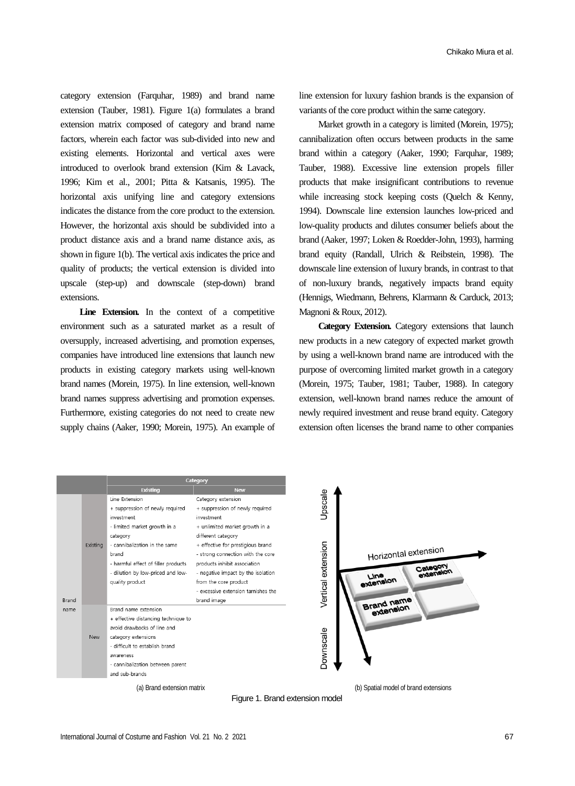category extension (Farquhar, 1989) and brand name extension (Tauber, 1981). Figure 1(a) formulates a brand extension matrix composed of category and brand name factors, wherein each factor was sub-divided into new and existing elements. Horizontal and vertical axes were introduced to overlook brand extension (Kim & Lavack, 1996; Kim et al., 2001; Pitta & Katsanis, 1995). The horizontal axis unifying line and category extensions indicates the distance from the core product to the extension. However, the horizontal axis should be subdivided into a product distance axis and a brand name distance axis, as shown in figure 1(b). The vertical axis indicates the price and quality of products; the vertical extension is divided into upscale (step-up) and downscale (step-down) brand extensions.

Line Extension. In the context of a competitive environment such as a saturated market as a result of oversupply, increased advertising, and promotion expenses, companies have introduced line extensions that launch new products in existing category markets using well-known brand names (Morein, 1975). In line extension, well-known brand names suppress advertising and promotion expenses. Furthermore, existing categories do not need to create new supply chains (Aaker, 1990; Morein, 1975). An example of

line extension for luxury fashion brands is the expansion of variants of the core product within the same category.

Market growth in a category is limited (Morein, 1975); cannibalization often occurs between products in the same brand within a category (Aaker, 1990; Farquhar, 1989; Tauber, 1988). Excessive line extension propels filler products that make insignificant contributions to revenue while increasing stock keeping costs (Quelch & Kenny, 1994). Downscale line extension launches low-priced and low-quality products and dilutes consumer beliefs about the brand (Aaker, 1997; Loken & Roedder-John, 1993), harming brand equity (Randall, Ulrich & Reibstein, 1998). The downscale line extension of luxury brands, in contrast to that of non-luxury brands, negatively impacts brand equity (Hennigs, Wiedmann, Behrens, Klarmann & Carduck, 2013; Magnoni & Roux, 2012).

**Category Extension.** Category extensions that launch new products in a new category of expected market growth by using a well-known brand name are introduced with the purpose of overcoming limited market growth in a category (Morein, 1975; Tauber, 1981; Tauber, 1988). In category extension, well-known brand names reduce the amount of newly required investment and reuse brand equity. Category extension often licenses the brand name to other companies

|      |            | Category                                                                                                                                                                                                                                             |                                                                                                                                                                                                                                                                                                                                             |
|------|------------|------------------------------------------------------------------------------------------------------------------------------------------------------------------------------------------------------------------------------------------------------|---------------------------------------------------------------------------------------------------------------------------------------------------------------------------------------------------------------------------------------------------------------------------------------------------------------------------------------------|
|      |            | Existing                                                                                                                                                                                                                                             | <b>New</b>                                                                                                                                                                                                                                                                                                                                  |
|      | Existina   | Line Extension<br>+ suppression of newly required<br>investment<br>- limited market growth in a<br>category<br>- cannibalization in the same<br>brand<br>- harmful effect of filler products<br>- dilution by low-priced and low-<br>quality product | Category extension<br>+ suppression of newly required<br>investment<br>+ unlimited market growth in a<br>different category<br>+ effective for prestigious brand<br>- strong connection with the core<br>products inhibit association<br>- negative impact by the isolation<br>from the core product<br>- excessive extension tarnishes the |
| name | <b>New</b> | Brand name extension<br>+ effective distancing technique to<br>avoid drawbacks of line and<br>category extensions<br>- difficult to establish brand<br>awareness<br>- cannibalization between parent<br>and sub-brands                               |                                                                                                                                                                                                                                                                                                                                             |
|      |            | (a) Brand extension matrix                                                                                                                                                                                                                           |                                                                                                                                                                                                                                                                                                                                             |

Figure 1. Brand extension model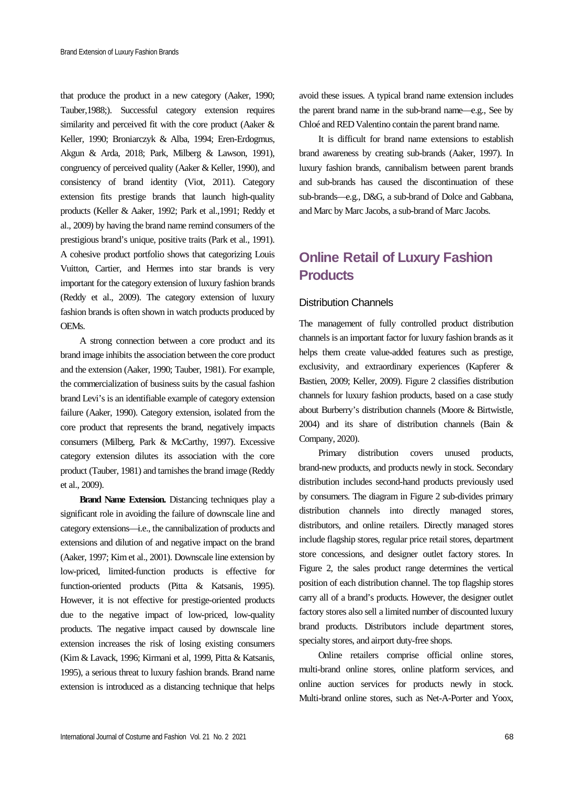that produce the product in a new category (Aaker, 1990; Tauber,1988;). Successful category extension requires similarity and perceived fit with the core product (Aaker & Keller, 1990; Broniarczyk & Alba, 1994; Eren-Erdogmus, Akgun & Arda, 2018; Park, Milberg & Lawson, 1991), congruency of perceived quality (Aaker & Keller, 1990), and consistency of brand identity (Viot, 2011). Category extension fits prestige brands that launch high-quality products (Keller & Aaker, 1992; Park et al.,1991; Reddy et al., 2009) by having the brand name remind consumers of the prestigious brand's unique, positive traits (Park et al., 1991). A cohesive product portfolio shows that categorizing Louis Vuitton, Cartier, and Hermes into star brands is very important for the category extension of luxury fashion brands (Reddy et al., 2009). The category extension of luxury fashion brands is often shown in watch products produced by OEMs.

A strong connection between a core product and its brand image inhibits the association between the core product and the extension (Aaker, 1990; Tauber, 1981). For example, the commercialization of business suits by the casual fashion brand Levi's is an identifiable example of category extension failure (Aaker, 1990). Category extension, isolated from the core product that represents the brand, negatively impacts consumers (Milberg, Park & McCarthy, 1997). Excessive category extension dilutes its association with the core product (Tauber, 1981) and tarnishes the brand image (Reddy et al., 2009).

**Brand Name Extension.** Distancing techniques play a significant role in avoiding the failure of downscale line and category extensions—i.e., the cannibalization of products and extensions and dilution of and negative impact on the brand (Aaker, 1997; Kim et al., 2001). Downscale line extension by low-priced, limited-function products is effective for function-oriented products (Pitta & Katsanis, 1995). However, it is not effective for prestige-oriented products due to the negative impact of low-priced, low-quality products. The negative impact caused by downscale line extension increases the risk of losing existing consumers (Kim & Lavack, 1996; Kirmani et al, 1999, Pitta & Katsanis, 1995), a serious threat to luxury fashion brands. Brand name extension is introduced as a distancing technique that helps

avoid these issues. A typical brand name extension includes the parent brand name in the sub-brand name—e.g., See by Chloé and RED Valentino contain the parent brand name.

It is difficult for brand name extensions to establish brand awareness by creating sub-brands (Aaker, 1997). In luxury fashion brands, cannibalism between parent brands and sub-brands has caused the discontinuation of these sub-brands—e.g., D&G, a sub-brand of Dolce and Gabbana, and Marc by Marc Jacobs, a sub-brand of Marc Jacobs.

# **Online Retail of Luxury Fashion Products**

#### Distribution Channels

The management of fully controlled product distribution channels is an important factor for luxury fashion brands as it helps them create value-added features such as prestige, exclusivity, and extraordinary experiences (Kapferer & Bastien, 2009; Keller, 2009). Figure 2 classifies distribution channels for luxury fashion products, based on a case study about Burberry's distribution channels (Moore & Birtwistle, 2004) and its share of distribution channels (Bain & Company, 2020).

Primary distribution covers unused products, brand-new products, and products newly in stock. Secondary distribution includes second-hand products previously used by consumers. The diagram in Figure 2 sub-divides primary distribution channels into directly managed stores, distributors, and online retailers. Directly managed stores include flagship stores, regular price retail stores, department store concessions, and designer outlet factory stores. In Figure 2, the sales product range determines the vertical position of each distribution channel. The top flagship stores carry all of a brand's products. However, the designer outlet factory stores also sell a limited number of discounted luxury brand products. Distributors include department stores, specialty stores, and airport duty-free shops.

Online retailers comprise official online stores, multi-brand online stores, online platform services, and online auction services for products newly in stock. Multi-brand online stores, such as Net-A-Porter and Yoox,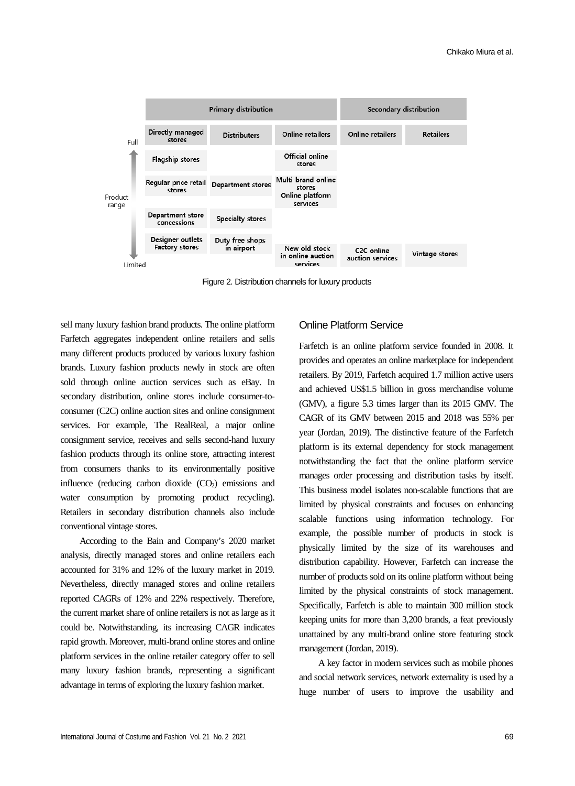

Figure 2. Distribution channels for luxury products

sell many luxury fashion brand products. The online platform Farfetch aggregates independent online retailers and sells many different products produced by various luxury fashion brands. Luxury fashion products newly in stock are often sold through online auction services such as eBay. In secondary distribution, online stores include consumer-toconsumer (C2C) online auction sites and online consignment services. For example, The RealReal, a major online consignment service, receives and sells second-hand luxury fashion products through its online store, attracting interest from consumers thanks to its environmentally positive influence (reducing carbon dioxide  $(CO<sub>2</sub>)$ ) emissions and water consumption by promoting product recycling). Retailers in secondary distribution channels also include conventional vintage stores.

According to the Bain and Company's 2020 market analysis, directly managed stores and online retailers each accounted for 31% and 12% of the luxury market in 2019. Nevertheless, directly managed stores and online retailers reported CAGRs of 12% and 22% respectively. Therefore, the current market share of online retailers is not as large as it could be. Notwithstanding, its increasing CAGR indicates rapid growth. Moreover, multi-brand online stores and online platform services in the online retailer category offer to sell many luxury fashion brands, representing a significant advantage in terms of exploring the luxury fashion market.

#### Online Platform Service

Farfetch is an online platform service founded in 2008. It provides and operates an online marketplace for independent retailers. By 2019, Farfetch acquired 1.7 million active users and achieved US\$1.5 billion in gross merchandise volume (GMV), a figure 5.3 times larger than its 2015 GMV. The CAGR of its GMV between 2015 and 2018 was 55% per year (Jordan, 2019). The distinctive feature of the Farfetch platform is its external dependency for stock management notwithstanding the fact that the online platform service manages order processing and distribution tasks by itself. This business model isolates non-scalable functions that are limited by physical constraints and focuses on enhancing scalable functions using information technology. For example, the possible number of products in stock is physically limited by the size of its warehouses and distribution capability. However, Farfetch can increase the number of products sold on its online platform without being limited by the physical constraints of stock management. Specifically, Farfetch is able to maintain 300 million stock keeping units for more than 3,200 brands, a feat previously unattained by any multi-brand online store featuring stock management (Jordan, 2019).

A key factor in modern services such as mobile phones and social network services, network externality is used by a huge number of users to improve the usability and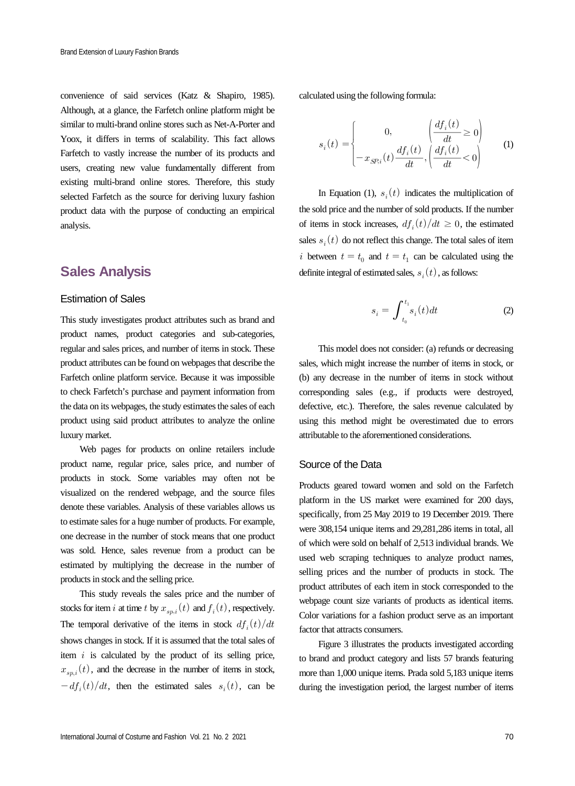convenience of said services (Katz & Shapiro, 1985). Although, at a glance, the Farfetch online platform might be similar to multi-brand online stores such as Net-A-Porter and Yoox, it differs in terms of scalability. This fact allows Farfetch to vastly increase the number of its products and users, creating new value fundamentally different from existing multi-brand online stores. Therefore, this study selected Farfetch as the source for deriving luxury fashion product data with the purpose of conducting an empirical analysis.

### **Sales Analysis**

#### Estimation of Sales

This study investigates product attributes such as brand and product names, product categories and sub-categories, regular and sales prices, and number of items in stock. These product attributes can be found on webpages that describe the Farfetch online platform service. Because it was impossible to check Farfetch's purchase and payment information from the data on its webpages, the study estimates the sales of each product using said product attributes to analyze the online luxury market.

Web pages for products on online retailers include product name, regular price, sales price, and number of products in stock. Some variables may often not be visualized on the rendered webpage, and the source files denote these variables. Analysis of these variables allows us to estimate sales for a huge number of products. For example, one decrease in the number of stock means that one product was sold. Hence, sales revenue from a product can be estimated by multiplying the decrease in the number of products in stock and the selling price.

This study reveals the sales price and the number of stocks for item *i* at time *t* by  $x_{sn,i}(t)$  and  $f_i(t)$ , respectively. The temporal derivative of the items in stock  $df_i(t)/dt$ shows changes in stock. If it is assumed that the total sales of item  $i$  is calculated by the product of its selling price,  $x_{sn,i}(t)$ , and the decrease in the number of items in stock,  $-df_i(t)/dt$ , then the estimated sales  $s_i(t)$ , can be calculated using the following formula:

lated using the following formula:  
\n
$$
s_i(t) = \begin{cases}\n0, & \left(\frac{df_i(t)}{dt} \ge 0\right) \\
-x_{SP,i}(t) \frac{df_i(t)}{dt}, & \left(\frac{df_i(t)}{dt} < 0\right)\n\end{cases}
$$
\n(1)

In Equation (1),  $s_i(t)$  indicates the multiplication of the sold price and the number of sold products. If the number of items in stock increases,  $df_i(t)/dt \geq 0$ , the estimated sales  $s_i(t)$  do not reflect this change. The total sales of item i between  $t = t_0$  and  $t = t_1$  can be calculated using the definite integral of estimated sales,  $s_i(t)$ , as follows:

$$
s_i = \int_{t_0}^{t_1} s_i(t)dt
$$
 (2)

This model does not consider: (a) refunds or decreasing sales, which might increase the number of items in stock, or (b) any decrease in the number of items in stock without corresponding sales (e.g., if products were destroyed, defective, etc.). Therefore, the sales revenue calculated by using this method might be overestimated due to errors attributable to the aforementioned considerations.

#### Source of the Data

Products geared toward women and sold on the Farfetch platform in the US market were examined for 200 days, specifically, from 25 May 2019 to 19 December 2019. There were 308,154 unique items and 29,281,286 items in total, all of which were sold on behalf of 2,513 individual brands. We used web scraping techniques to analyze product names, selling prices and the number of products in stock. The product attributes of each item in stock corresponded to the webpage count size variants of products as identical items. Color variations for a fashion product serve as an important factor that attracts consumers.

Figure 3 illustrates the products investigated according to brand and product category and lists 57 brands featuring more than 1,000 unique items. Prada sold 5,183 unique items during the investigation period, the largest number of items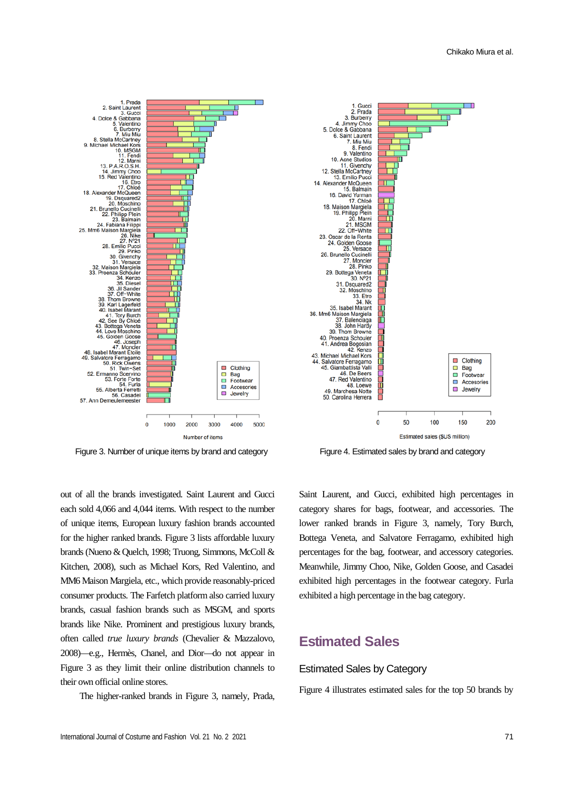

Figure 3. Number of unique items by brand and category Figure 4. Estimated sales by brand and category

out of all the brands investigated. Saint Laurent and Gucci each sold 4,066 and 4,044 items. With respect to the number of unique items, European luxury fashion brands accounted for the higher ranked brands. Figure 3 lists affordable luxury brands (Nueno & Quelch, 1998; Truong, Simmons, McColl & Kitchen, 2008), such as Michael Kors, Red Valentino, and MM6 Maison Margiela, etc., which provide reasonably-priced consumer products. The Farfetch platform also carried luxury brands, casual fashion brands such as MSGM, and sports brands like Nike. Prominent and prestigious luxury brands, often called *true luxury brands* (Chevalier & Mazzalovo, 2008)—e.g., Hermès, Chanel, and Dior—do not appear in Figure 3 as they limit their online distribution channels to their own official online stores.

The higher-ranked brands in Figure 3, namely, Prada,

Saint Laurent, and Gucci, exhibited high percentages in category shares for bags, footwear, and accessories. The lower ranked brands in Figure 3, namely, Tory Burch, Bottega Veneta, and Salvatore Ferragamo, exhibited high percentages for the bag, footwear, and accessory categories. Meanwhile, Jimmy Choo, Nike, Golden Goose, and Casadei exhibited high percentages in the footwear category. Furla exhibited a high percentage in the bag category.

### **Estimated Sales**

#### Estimated Sales by Category

Figure 4 illustrates estimated sales for the top 50 brands by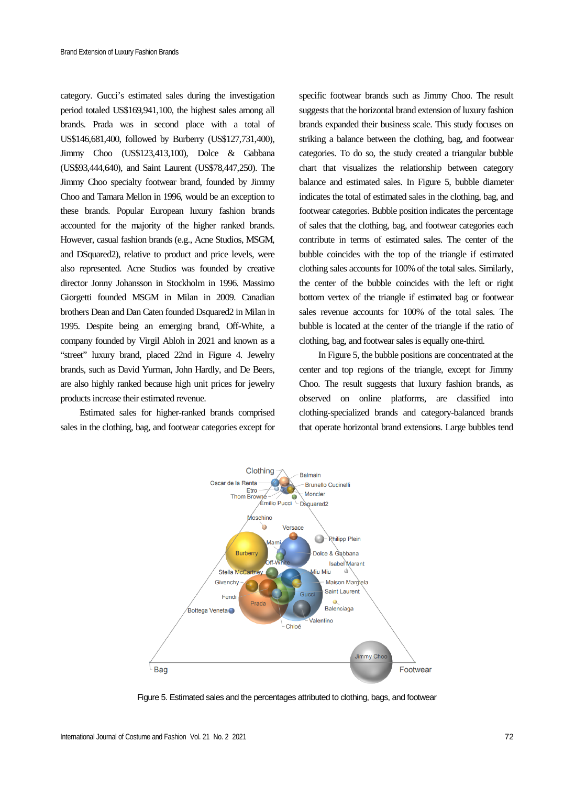category. Gucci's estimated sales during the investigation period totaled US\$169,941,100, the highest sales among all brands. Prada was in second place with a total of US\$146,681,400, followed by Burberry (US\$127,731,400), Jimmy Choo (US\$123,413,100), Dolce & Gabbana (US\$93,444,640), and Saint Laurent (US\$78,447,250). The Jimmy Choo specialty footwear brand, founded by Jimmy Choo and Tamara Mellon in 1996, would be an exception to these brands. Popular European luxury fashion brands accounted for the majority of the higher ranked brands. However, casual fashion brands (e.g., Acne Studios, MSGM, and DSquared2), relative to product and price levels, were also represented. Acne Studios was founded by creative director Jonny Johansson in Stockholm in 1996. Massimo Giorgetti founded MSGM in Milan in 2009. Canadian brothers Dean and Dan Caten founded Dsquared2 in Milan in 1995. Despite being an emerging brand, Off-White, a company founded by Virgil Abloh in 2021 and known as a "street" luxury brand, placed 22nd in Figure 4. Jewelry brands, such as David Yurman, John Hardly, and De Beers, are also highly ranked because high unit prices for jewelry products increase their estimated revenue.

Estimated sales for higher-ranked brands comprised sales in the clothing, bag, and footwear categories except for

specific footwear brands such as Jimmy Choo. The result suggests that the horizontal brand extension of luxury fashion brands expanded their business scale. This study focuses on striking a balance between the clothing, bag, and footwear categories. To do so, the study created a triangular bubble chart that visualizes the relationship between category balance and estimated sales. In Figure 5, bubble diameter indicates the total of estimated sales in the clothing, bag, and footwear categories. Bubble position indicates the percentage of sales that the clothing, bag, and footwear categories each contribute in terms of estimated sales. The center of the bubble coincides with the top of the triangle if estimated clothing sales accounts for 100% of the total sales. Similarly, the center of the bubble coincides with the left or right bottom vertex of the triangle if estimated bag or footwear sales revenue accounts for 100% of the total sales. The bubble is located at the center of the triangle if the ratio of clothing, bag, and footwear sales is equally one-third.

In Figure 5, the bubble positions are concentrated at the center and top regions of the triangle, except for Jimmy Choo. The result suggests that luxury fashion brands, as observed on online platforms, are classified into clothing-specialized brands and category-balanced brands that operate horizontal brand extensions. Large bubbles tend



Figure 5. Estimated sales and the percentages attributed to clothing, bags, and footwear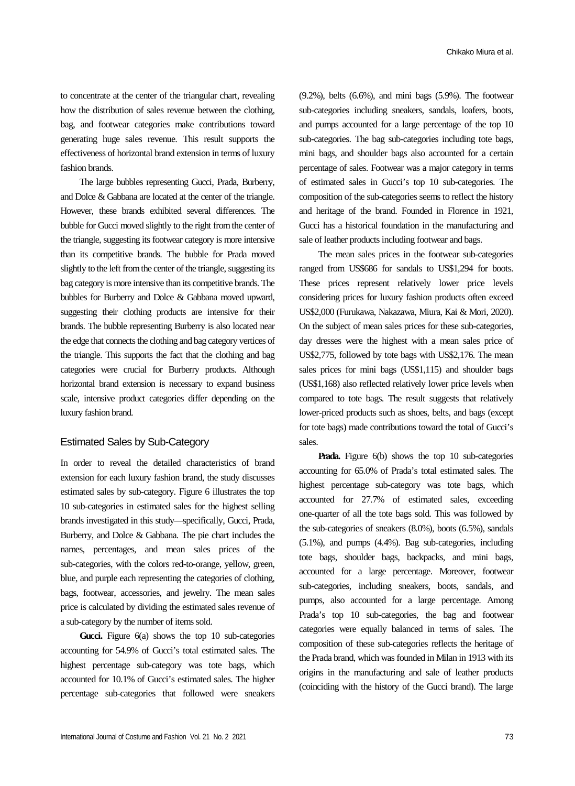to concentrate at the center of the triangular chart, revealing how the distribution of sales revenue between the clothing, bag, and footwear categories make contributions toward generating huge sales revenue. This result supports the effectiveness of horizontal brand extension in terms of luxury fashion brands.

The large bubbles representing Gucci, Prada, Burberry, and Dolce & Gabbana are located at the center of the triangle. However, these brands exhibited several differences. The bubble for Gucci moved slightly to the right from the center of the triangle, suggesting its footwear category is more intensive than its competitive brands. The bubble for Prada moved slightly to the left from the center of the triangle, suggesting its bag category is more intensive than its competitive brands. The bubbles for Burberry and Dolce & Gabbana moved upward, suggesting their clothing products are intensive for their brands. The bubble representing Burberry is also located near the edge that connects the clothing and bag category vertices of the triangle. This supports the fact that the clothing and bag categories were crucial for Burberry products. Although horizontal brand extension is necessary to expand business scale, intensive product categories differ depending on the luxury fashion brand.

#### Estimated Sales by Sub-Category

In order to reveal the detailed characteristics of brand extension for each luxury fashion brand, the study discusses estimated sales by sub-category. Figure 6 illustrates the top 10 sub-categories in estimated sales for the highest selling brands investigated in this study—specifically, Gucci, Prada, Burberry, and Dolce & Gabbana. The pie chart includes the names, percentages, and mean sales prices of the sub-categories, with the colors red-to-orange, yellow, green, blue, and purple each representing the categories of clothing, bags, footwear, accessories, and jewelry. The mean sales price is calculated by dividing the estimated sales revenue of a sub-category by the number of items sold.

Gucci. Figure 6(a) shows the top 10 sub-categories accounting for 54.9% of Gucci's total estimated sales. The highest percentage sub-category was tote bags, which accounted for 10.1% of Gucci's estimated sales. The higher percentage sub-categories that followed were sneakers

(9.2%), belts (6.6%), and mini bags (5.9%). The footwear sub-categories including sneakers, sandals, loafers, boots, and pumps accounted for a large percentage of the top 10 sub-categories. The bag sub-categories including tote bags, mini bags, and shoulder bags also accounted for a certain percentage of sales. Footwear was a major category in terms of estimated sales in Gucci's top 10 sub-categories. The composition of the sub-categories seems to reflect the history and heritage of the brand. Founded in Florence in 1921, Gucci has a historical foundation in the manufacturing and sale of leather products including footwear and bags.

The mean sales prices in the footwear sub-categories ranged from US\$686 for sandals to US\$1,294 for boots. These prices represent relatively lower price levels considering prices for luxury fashion products often exceed US\$2,000 (Furukawa, Nakazawa, Miura, Kai & Mori, 2020). On the subject of mean sales prices for these sub-categories, day dresses were the highest with a mean sales price of US\$2,775, followed by tote bags with US\$2,176. The mean sales prices for mini bags (US\$1,115) and shoulder bags (US\$1,168) also reflected relatively lower price levels when compared to tote bags. The result suggests that relatively lower-priced products such as shoes, belts, and bags (except for tote bags) made contributions toward the total of Gucci's sales.

**Prada.** Figure 6(b) shows the top 10 sub-categories accounting for 65.0% of Prada's total estimated sales. The highest percentage sub-category was tote bags, which accounted for 27.7% of estimated sales, exceeding one-quarter of all the tote bags sold. This was followed by the sub-categories of sneakers (8.0%), boots (6.5%), sandals (5.1%), and pumps (4.4%). Bag sub-categories, including tote bags, shoulder bags, backpacks, and mini bags, accounted for a large percentage. Moreover, footwear sub-categories, including sneakers, boots, sandals, and pumps, also accounted for a large percentage. Among Prada's top 10 sub-categories, the bag and footwear categories were equally balanced in terms of sales. The composition of these sub-categories reflects the heritage of the Prada brand, which was founded in Milan in 1913 with its origins in the manufacturing and sale of leather products (coinciding with the history of the Gucci brand). The large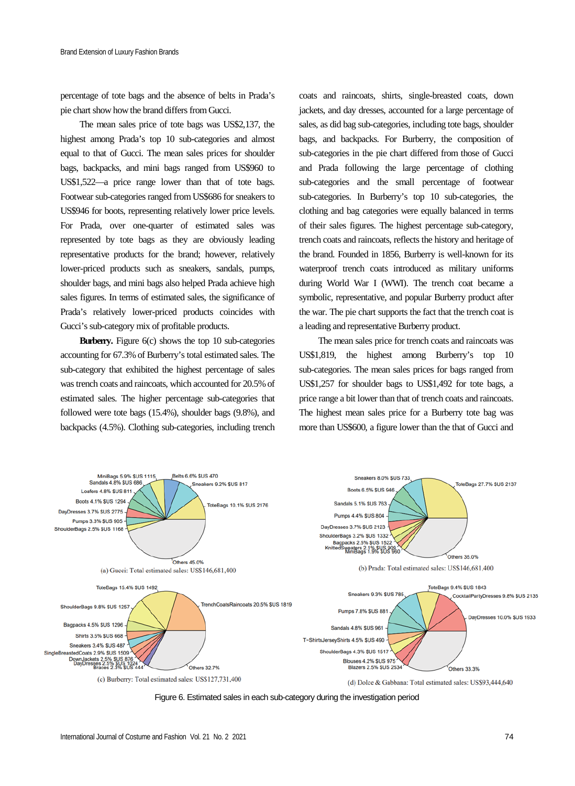percentage of tote bags and the absence of belts in Prada's pie chart show how the brand differs from Gucci.

The mean sales price of tote bags was US\$2,137, the highest among Prada's top 10 sub-categories and almost equal to that of Gucci. The mean sales prices for shoulder bags, backpacks, and mini bags ranged from US\$960 to US\$1,522—a price range lower than that of tote bags. Footwear sub-categories ranged from US\$686 for sneakers to US\$946 for boots, representing relatively lower price levels. For Prada, over one-quarter of estimated sales was represented by tote bags as they are obviously leading representative products for the brand; however, relatively lower-priced products such as sneakers, sandals, pumps, shoulder bags, and mini bags also helped Prada achieve high sales figures. In terms of estimated sales, the significance of Prada's relatively lower-priced products coincides with Gucci's sub-category mix of profitable products.

**Burberry.** Figure 6(c) shows the top 10 sub-categories accounting for 67.3% of Burberry's total estimated sales. The sub-category that exhibited the highest percentage of sales was trench coats and raincoats, which accounted for 20.5% of estimated sales. The higher percentage sub-categories that followed were tote bags (15.4%), shoulder bags (9.8%), and backpacks (4.5%). Clothing sub-categories, including trench

coats and raincoats, shirts, single-breasted coats, down jackets, and day dresses, accounted for a large percentage of sales, as did bag sub-categories, including tote bags, shoulder bags, and backpacks. For Burberry, the composition of sub-categories in the pie chart differed from those of Gucci and Prada following the large percentage of clothing sub-categories and the small percentage of footwear sub-categories. In Burberry's top 10 sub-categories, the clothing and bag categories were equally balanced in terms of their sales figures. The highest percentage sub-category, trench coats and raincoats, reflects the history and heritage of the brand. Founded in 1856, Burberry is well-known for its waterproof trench coats introduced as military uniforms during World War I (WWI). The trench coat became a symbolic, representative, and popular Burberry product after the war. The pie chart supports the fact that the trench coat is a leading and representative Burberry product.

The mean sales price for trench coats and raincoats was US\$1,819, the highest among Burberry's top 10 sub-categories. The mean sales prices for bags ranged from US\$1,257 for shoulder bags to US\$1,492 for tote bags, a price range a bit lower than that of trench coats and raincoats. The highest mean sales price for a Burberry tote bag was more than US\$600, a figure lower than the that of Gucci and



Figure 6. Estimated sales in each sub-category during the investigation period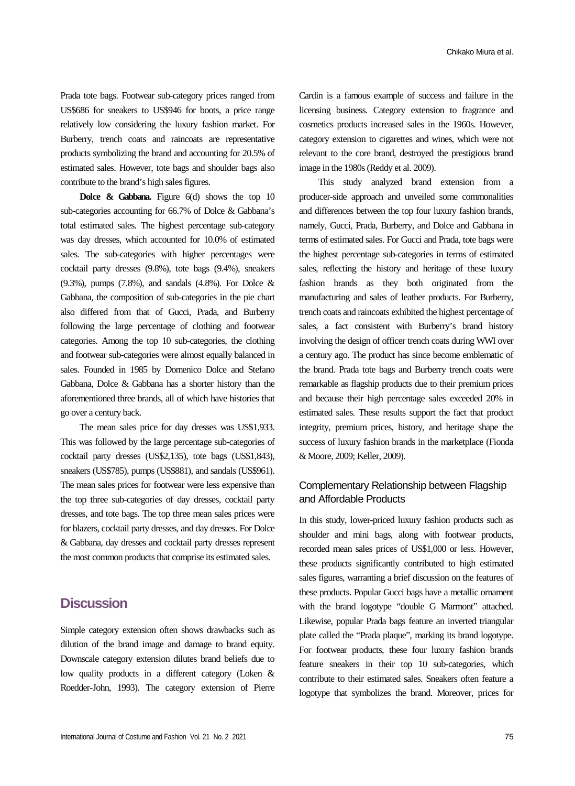Prada tote bags. Footwear sub-category prices ranged from US\$686 for sneakers to US\$946 for boots, a price range relatively low considering the luxury fashion market. For Burberry, trench coats and raincoats are representative products symbolizing the brand and accounting for 20.5% of estimated sales. However, tote bags and shoulder bags also contribute to the brand's high sales figures.

**Dolce & Gabbana.** Figure 6(d) shows the top 10 sub-categories accounting for 66.7% of Dolce & Gabbana's total estimated sales. The highest percentage sub-category was day dresses, which accounted for 10.0% of estimated sales. The sub-categories with higher percentages were cocktail party dresses (9.8%), tote bags (9.4%), sneakers (9.3%), pumps (7.8%), and sandals (4.8%). For Dolce & Gabbana, the composition of sub-categories in the pie chart also differed from that of Gucci, Prada, and Burberry following the large percentage of clothing and footwear categories. Among the top 10 sub-categories, the clothing and footwear sub-categories were almost equally balanced in sales. Founded in 1985 by Domenico Dolce and Stefano Gabbana, Dolce & Gabbana has a shorter history than the aforementioned three brands, all of which have histories that go over a century back.

The mean sales price for day dresses was US\$1,933. This was followed by the large percentage sub-categories of cocktail party dresses (US\$2,135), tote bags (US\$1,843), sneakers (US\$785), pumps (US\$881), and sandals (US\$961). The mean sales prices for footwear were less expensive than the top three sub-categories of day dresses, cocktail party dresses, and tote bags. The top three mean sales prices were for blazers, cocktail party dresses, and day dresses. For Dolce & Gabbana, day dresses and cocktail party dresses represent the most common products that comprise its estimated sales.

### **Discussion**

Simple category extension often shows drawbacks such as dilution of the brand image and damage to brand equity. Downscale category extension dilutes brand beliefs due to low quality products in a different category (Loken & Roedder-John, 1993). The category extension of Pierre Cardin is a famous example of success and failure in the licensing business. Category extension to fragrance and cosmetics products increased sales in the 1960s. However, category extension to cigarettes and wines, which were not relevant to the core brand, destroyed the prestigious brand image in the 1980s (Reddy et al. 2009).

This study analyzed brand extension from a producer-side approach and unveiled some commonalities and differences between the top four luxury fashion brands, namely, Gucci, Prada, Burberry, and Dolce and Gabbana in terms of estimated sales. For Gucci and Prada, tote bags were the highest percentage sub-categories in terms of estimated sales, reflecting the history and heritage of these luxury fashion brands as they both originated from the manufacturing and sales of leather products. For Burberry, trench coats and raincoats exhibited the highest percentage of sales, a fact consistent with Burberry's brand history involving the design of officer trench coats during WWI over a century ago. The product has since become emblematic of the brand. Prada tote bags and Burberry trench coats were remarkable as flagship products due to their premium prices and because their high percentage sales exceeded 20% in estimated sales. These results support the fact that product integrity, premium prices, history, and heritage shape the success of luxury fashion brands in the marketplace (Fionda & Moore, 2009; Keller, 2009).

### Complementary Relationship between Flagship and Affordable Products

In this study, lower-priced luxury fashion products such as shoulder and mini bags, along with footwear products, recorded mean sales prices of US\$1,000 or less. However, these products significantly contributed to high estimated sales figures, warranting a brief discussion on the features of these products. Popular Gucci bags have a metallic ornament with the brand logotype "double G Marmont" attached. Likewise, popular Prada bags feature an inverted triangular plate called the "Prada plaque", marking its brand logotype. For footwear products, these four luxury fashion brands feature sneakers in their top 10 sub-categories, which contribute to their estimated sales. Sneakers often feature a logotype that symbolizes the brand. Moreover, prices for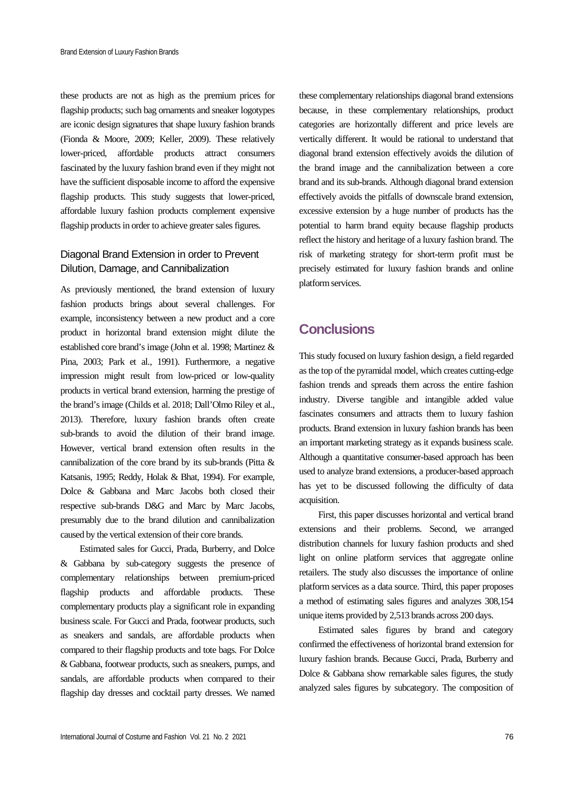these products are not as high as the premium prices for flagship products; such bag ornaments and sneaker logotypes are iconic design signatures that shape luxury fashion brands (Fionda & Moore, 2009; Keller, 2009). These relatively lower-priced, affordable products attract consumers fascinated by the luxury fashion brand even if they might not have the sufficient disposable income to afford the expensive flagship products. This study suggests that lower-priced, affordable luxury fashion products complement expensive flagship products in order to achieve greater sales figures.

### Diagonal Brand Extension in order to Prevent Dilution, Damage, and Cannibalization

As previously mentioned, the brand extension of luxury fashion products brings about several challenges. For example, inconsistency between a new product and a core product in horizontal brand extension might dilute the established core brand's image (John et al. 1998; Martinez & Pina, 2003; Park et al., 1991). Furthermore, a negative impression might result from low-priced or low-quality products in vertical brand extension, harming the prestige of the brand's image (Childs et al. 2018; Dall'Olmo Riley et al., 2013). Therefore, luxury fashion brands often create sub-brands to avoid the dilution of their brand image. However, vertical brand extension often results in the cannibalization of the core brand by its sub-brands (Pitta & Katsanis, 1995; Reddy, Holak & Bhat, 1994). For example, Dolce & Gabbana and Marc Jacobs both closed their respective sub-brands D&G and Marc by Marc Jacobs, presumably due to the brand dilution and cannibalization caused by the vertical extension of their core brands.

Estimated sales for Gucci, Prada, Burberry, and Dolce & Gabbana by sub-category suggests the presence of complementary relationships between premium-priced flagship products and affordable products. These complementary products play a significant role in expanding business scale. For Gucci and Prada, footwear products, such as sneakers and sandals, are affordable products when compared to their flagship products and tote bags. For Dolce & Gabbana, footwear products, such as sneakers, pumps, and sandals, are affordable products when compared to their flagship day dresses and cocktail party dresses. We named these complementary relationships diagonal brand extensions because, in these complementary relationships, product categories are horizontally different and price levels are vertically different. It would be rational to understand that diagonal brand extension effectively avoids the dilution of the brand image and the cannibalization between a core brand and its sub-brands. Although diagonal brand extension effectively avoids the pitfalls of downscale brand extension, excessive extension by a huge number of products has the potential to harm brand equity because flagship products reflect the history and heritage of a luxury fashion brand. The risk of marketing strategy for short-term profit must be precisely estimated for luxury fashion brands and online platform services.

## **Conclusions**

This study focused on luxury fashion design, a field regarded as the top of the pyramidal model, which creates cutting-edge fashion trends and spreads them across the entire fashion industry. Diverse tangible and intangible added value fascinates consumers and attracts them to luxury fashion products. Brand extension in luxury fashion brands has been an important marketing strategy as it expands business scale. Although a quantitative consumer-based approach has been used to analyze brand extensions, a producer-based approach has yet to be discussed following the difficulty of data acquisition.

First, this paper discusses horizontal and vertical brand extensions and their problems. Second, we arranged distribution channels for luxury fashion products and shed light on online platform services that aggregate online retailers. The study also discusses the importance of online platform services as a data source. Third, this paper proposes a method of estimating sales figures and analyzes 308,154 unique items provided by 2,513 brands across 200 days.

Estimated sales figures by brand and category confirmed the effectiveness of horizontal brand extension for luxury fashion brands. Because Gucci, Prada, Burberry and Dolce & Gabbana show remarkable sales figures, the study analyzed sales figures by subcategory. The composition of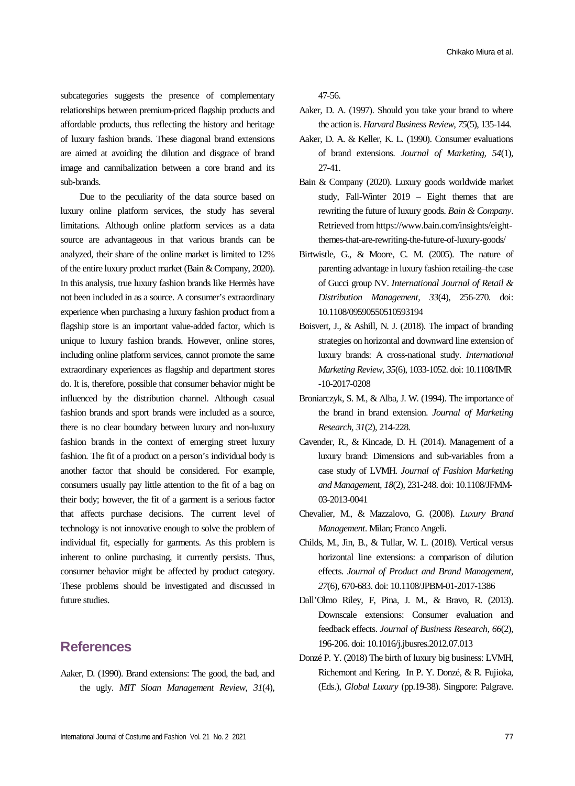subcategories suggests the presence of complementary relationships between premium-priced flagship products and affordable products, thus reflecting the history and heritage of luxury fashion brands. These diagonal brand extensions are aimed at avoiding the dilution and disgrace of brand image and cannibalization between a core brand and its sub-brands.

Due to the peculiarity of the data source based on luxury online platform services, the study has several limitations. Although online platform services as a data source are advantageous in that various brands can be analyzed, their share of the online market is limited to 12% of the entire luxury product market (Bain & Company, 2020). In this analysis, true luxury fashion brands like Hermès have not been included in as a source. A consumer's extraordinary experience when purchasing a luxury fashion product from a flagship store is an important value-added factor, which is unique to luxury fashion brands. However, online stores, including online platform services, cannot promote the same extraordinary experiences as flagship and department stores do. It is, therefore, possible that consumer behavior might be influenced by the distribution channel. Although casual fashion brands and sport brands were included as a source, there is no clear boundary between luxury and non-luxury fashion brands in the context of emerging street luxury fashion. The fit of a product on a person's individual body is another factor that should be considered. For example, consumers usually pay little attention to the fit of a bag on their body; however, the fit of a garment is a serious factor that affects purchase decisions. The current level of technology is not innovative enough to solve the problem of individual fit, especially for garments. As this problem is inherent to online purchasing, it currently persists. Thus, consumer behavior might be affected by product category. These problems should be investigated and discussed in future studies.

### **References**

Aaker, D. (1990). Brand extensions: The good, the bad, and the ugly. *MIT Sloan Management Review, 31*(4),

47-56.

- Aaker, D. A. (1997). Should you take your brand to where the action is. *Harvard Business Review, 75*(5), 135-144.
- Aaker, D. A. & Keller, K. L. (1990). Consumer evaluations of brand extensions. *Journal of Marketing, 54*(1), 27-41.
- Bain & Company (2020). Luxury goods worldwide market study, Fall-Winter 2019 – Eight themes that are rewriting the future of luxury goods. *Bain & Company*. Retrieved from https://www.bain.com/insights/eightthemes-that-are-rewriting-the-future-of-luxury-goods/
- Birtwistle, G., & Moore, C. M. (2005). The nature of parenting advantage in luxury fashion retailing–the case of Gucci group NV. *International Journal of Retail & Distribution Management, 33*(4), 256-270. doi: 10.1108/09590550510593194
- Boisvert, J., & Ashill, N. J. (2018). The impact of branding strategies on horizontal and downward line extension of luxury brands: A cross-national study. *International Marketing Review, 35*(6), 1033-1052. doi: 10.1108/IMR -10-2017-0208
- Broniarczyk, S. M., & Alba, J. W. (1994). The importance of the brand in brand extension. *Journal of Marketing Research, 31*(2), 214-228.
- Cavender, R., & Kincade, D. H. (2014). Management of a luxury brand: Dimensions and sub-variables from a case study of LVMH. *Journal of Fashion Marketing and Manageme*nt*, 18*(2), 231-248. doi: 10.1108/JFMM-03-2013-0041
- Chevalier, M., & Mazzalovo, G. (2008). *Luxury Brand Management*. Milan; Franco Angeli.
- Childs, M., Jin, B., & Tullar, W. L. (2018). Vertical versus horizontal line extensions: a comparison of dilution effects. *Journal of Product and Brand Management, 27*(6), 670-683. doi: 10.1108/JPBM-01-2017-1386
- Dall'Olmo Riley, F, Pina, J. M., & Bravo, R. (2013). Downscale extensions: Consumer evaluation and feedback effects. *Journal of Business Research, 66*(2), 196-206. doi: 10.1016/j.jbusres.2012.07.013
- Donzé P. Y. (2018) The birth of luxury big business: LVMH, Richemont and Kering. In P. Y. Donzé, & R. Fujioka, (Eds.), *Global Luxury* (pp.19-38). Singpore: Palgrave.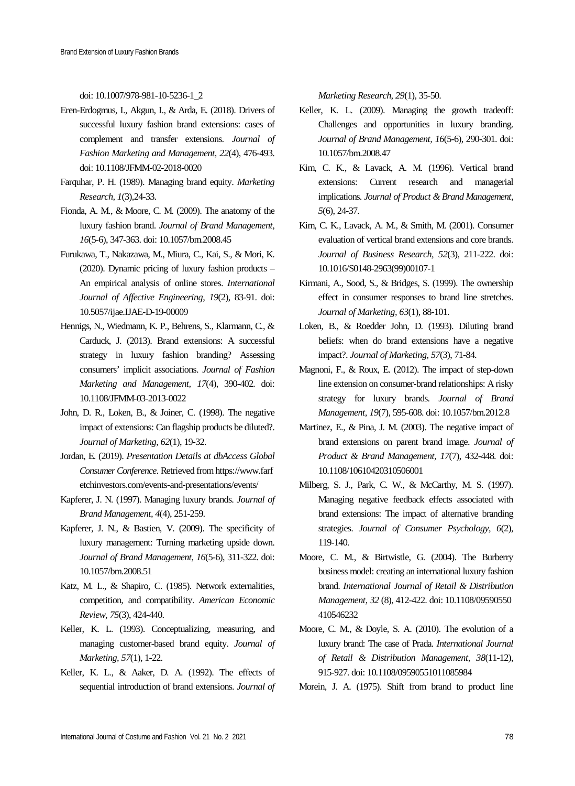doi: 10.1007/978-981-10-5236-1\_2

- Eren-Erdogmus, I., Akgun, I., & Arda, E. (2018). Drivers of successful luxury fashion brand extensions: cases of complement and transfer extensions. *Journal of Fashion Marketing and Management, 22*(4), 476-493. doi: 10.1108/JFMM-02-2018-0020
- Farquhar, P. H. (1989). Managing brand equity. *Marketing Research, 1*(3),24-33.
- Fionda, A. M., & Moore, C. M. (2009). The anatomy of the luxury fashion brand. *Journal of Brand Management, 16*(5-6), 347-363. doi: 10.1057/bm.2008.45
- Furukawa, T., Nakazawa, M., Miura, C., Kai, S., & Mori, K. (2020). Dynamic pricing of luxury fashion products – An empirical analysis of online stores. *International Journal of Affective Engineering, 19*(2), 83-91. doi: 10.5057/ijae.IJAE-D-19-00009
- Hennigs, N., Wiedmann, K. P., Behrens, S., Klarmann, C., & Carduck, J. (2013). Brand extensions: A successful strategy in luxury fashion branding? Assessing consumers' implicit associations. *Journal of Fashion Marketing and Management, 17*(4), 390-402. doi: 10.1108/JFMM-03-2013-0022
- John, D. R., Loken, B., & Joiner, C. (1998). The negative impact of extensions: Can flagship products be diluted?. *Journal of Marketing, 62*(1), 19-32.
- Jordan, E. (2019). *Presentation Details at dbAccess Global Consumer Conference*. Retrieved from https://www.farf etchinvestors.com/events-and-presentations/events/
- Kapferer, J. N. (1997). Managing luxury brands. *Journal of Brand Management, 4*(4), 251-259.
- Kapferer, J. N., & Bastien, V. (2009). The specificity of luxury management: Turning marketing upside down. *Journal of Brand Management, 16*(5-6), 311-322. doi: 10.1057/bm.2008.51
- Katz, M. L., & Shapiro, C. (1985). Network externalities, competition, and compatibility. *American Economic Review, 75*(3), 424-440.
- Keller, K. L. (1993). Conceptualizing, measuring, and managing customer-based brand equity. *Journal of Marketing, 57*(1), 1-22.
- Keller, K. L., & Aaker, D. A. (1992). The effects of sequential introduction of brand extensions. *Journal of*

*Marketing Research, 29*(1), 35-50.

- Keller, K. L. (2009). Managing the growth tradeoff: Challenges and opportunities in luxury branding. *Journal of Brand Management, 16*(5-6), 290-301. doi: 10.1057/bm.2008.47
- Kim, C. K., & Lavack, A. M. (1996). Vertical brand extensions: Current research and managerial implications. *Journal of Product & Brand Management, 5*(6), 24-37.
- Kim, C. K., Lavack, A. M., & Smith, M. (2001). Consumer evaluation of vertical brand extensions and core brands. *Journal of Business Research, 52*(3), 211-222. doi: 10.1016/S0148-2963(99)00107-1
- Kirmani, A., Sood, S., & Bridges, S. (1999). The ownership effect in consumer responses to brand line stretches. *Journal of Marketing, 63*(1), 88-101.
- Loken, B., & Roedder John, D. (1993). Diluting brand beliefs: when do brand extensions have a negative impact?. *Journal of Marketing, 57*(3), 71-84.
- Magnoni, F., & Roux, E. (2012). The impact of step-down line extension on consumer-brand relationships: A risky strategy for luxury brands. *Journal of Brand Management, 19*(7), 595-608. doi: 10.1057/bm.2012.8
- Martinez, E., & Pina, J. M. (2003). The negative impact of brand extensions on parent brand image. *Journal of Product & Brand Management, 17*(7), 432-448. doi: 10.1108/10610420310506001
- Milberg, S. J., Park, C. W., & McCarthy, M. S. (1997). Managing negative feedback effects associated with brand extensions: The impact of alternative branding strategies. *Journal of Consumer Psychology, 6*(2), 119-140.
- Moore, C. M., & Birtwistle, G. (2004). The Burberry business model: creating an international luxury fashion brand. *International Journal of Retail & Distribution Management, 32* (8), 412-422. doi: 10.1108/09590550 410546232
- Moore, C. M., & Doyle, S. A. (2010). The evolution of a luxury brand: The case of Prada. *International Journal of Retail & Distribution Management, 38*(11-12), 915-927. doi: 10.1108/09590551011085984

Morein, J. A. (1975). Shift from brand to product line